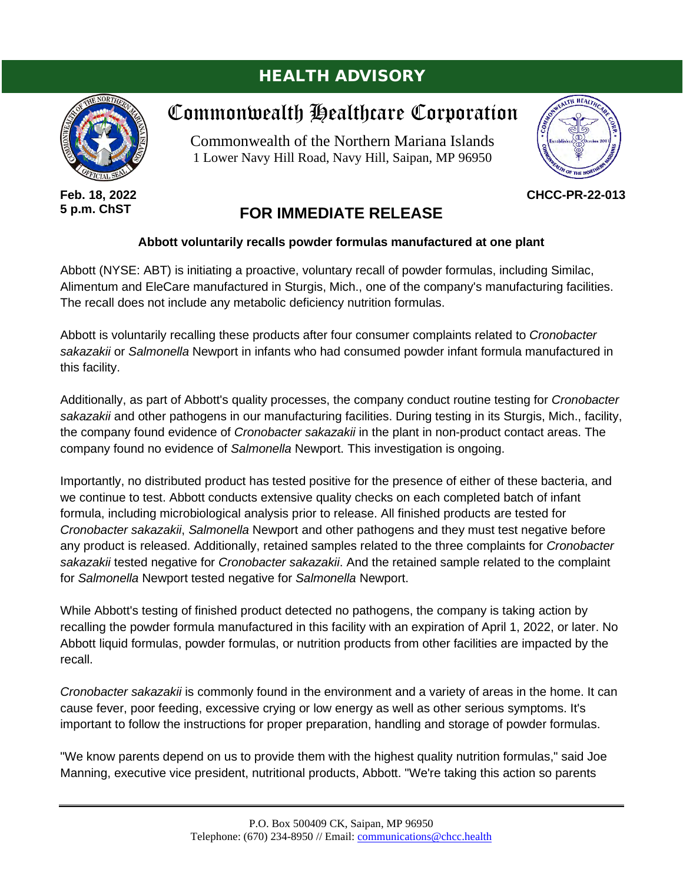# HEALTH ADVISORY



**Feb. 18, 2022 5 p.m. ChST**

# Commonwealth Healthcare Corporation

Commonwealth of the Northern Mariana Islands 1 Lower Navy Hill Road, Navy Hill, Saipan, MP 96950



**CHCC-PR-22-013**

# **FOR IMMEDIATE RELEASE**

## **Abbott voluntarily recalls powder formulas manufactured at one plant**

Abbott (NYSE: ABT) is initiating a proactive, voluntary recall of powder formulas, including Similac, Alimentum and EleCare manufactured in Sturgis, Mich., one of the company's manufacturing facilities. The recall does not include any metabolic deficiency nutrition formulas.

Abbott is voluntarily recalling these products after four consumer complaints related to *Cronobacter sakazakii* or *Salmonella* Newport in infants who had consumed powder infant formula manufactured in this facility.

Additionally, as part of Abbott's quality processes, the company conduct routine testing for *Cronobacter sakazakii* and other pathogens in our manufacturing facilities. During testing in its Sturgis, Mich., facility, the company found evidence of *Cronobacter sakazakii* in the plant in non-product contact areas. The company found no evidence of *Salmonella* Newport. This investigation is ongoing.

Importantly, no distributed product has tested positive for the presence of either of these bacteria, and we continue to test. Abbott conducts extensive quality checks on each completed batch of infant formula, including microbiological analysis prior to release. All finished products are tested for *Cronobacter sakazakii*, *Salmonella* Newport and other pathogens and they must test negative before any product is released. Additionally, retained samples related to the three complaints for *Cronobacter sakazakii* tested negative for *Cronobacter sakazakii*. And the retained sample related to the complaint for *Salmonella* Newport tested negative for *Salmonella* Newport.

While Abbott's testing of finished product detected no pathogens, the company is taking action by recalling the powder formula manufactured in this facility with an expiration of April 1, 2022, or later. No Abbott liquid formulas, powder formulas, or nutrition products from other facilities are impacted by the recall.

*Cronobacter sakazakii* is commonly found in the environment and a variety of areas in the home. It can cause fever, poor feeding, excessive crying or low energy as well as other serious symptoms. It's important to follow the instructions for proper preparation, handling and storage of powder formulas.

"We know parents depend on us to provide them with the highest quality nutrition formulas," said Joe Manning, executive vice president, nutritional products, Abbott. "We're taking this action so parents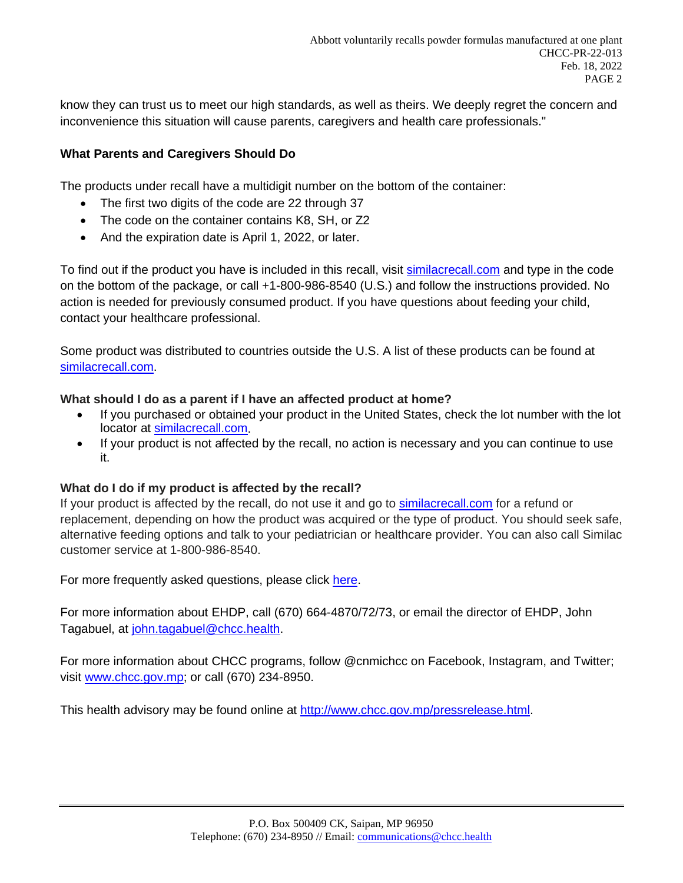know they can trust us to meet our high standards, as well as theirs. We deeply regret the concern and inconvenience this situation will cause parents, caregivers and health care professionals."

## **What Parents and Caregivers Should Do**

The products under recall have a multidigit number on the bottom of the container:

- The first two digits of the code are 22 through 37
- The code on the container contains K8, SH, or Z2
- And the expiration date is April 1, 2022, or later.

To find out if the product you have is included in this recall, visit [similacrecall.com](http://www.similacrecall.com/) and type in the code on the bottom of the package, or call +1-800-986-8540 (U.S.) and follow the instructions provided. No action is needed for previously consumed product. If you have questions about feeding your child, contact your healthcare professional.

Some product was distributed to countries outside the U.S. A list of these products can be found at [similacrecall.com.](http://www.similacrecall.com/)

## **What should I do as a parent if I have an affected product at home?**

- If you purchased or obtained your product in the United States, check the lot number with the lot locator at [similacrecall.com.](http://similacrecall.com/)
- If your product is not affected by the recall, no action is necessary and you can continue to use it.

## **What do I do if my product is affected by the recall?**

If your product is affected by the recall, do not use it and go to [similacrecall.com](http://similacrecall.com/) for a refund or replacement, depending on how the product was acquired or the type of product. You should seek safe, alternative feeding options and talk to your pediatrician or healthcare provider. You can also call Similac customer service at 1-800-986-8540.

For more frequently asked questions, please click [here.](https://www.abbott.com/consumer/abbott-powder-formula-recall.html)

For more information about EHDP, call (670) 664-4870/72/73, or email the director of EHDP, John Tagabuel, at [john.tagabuel@chcc.health.](mailto:john.tagabuel@chcc.health)

For more information about CHCC programs, follow @cnmichcc on Facebook, Instagram, and Twitter; visit [www.chcc.gov.mp;](http://www.chcc.gov.mp/) or call (670) 234-8950.

This health advisory may be found online at [http://www.chcc.gov.mp/pressrelease.html.](http://www.chcc.gov.mp/pressrelease.html)